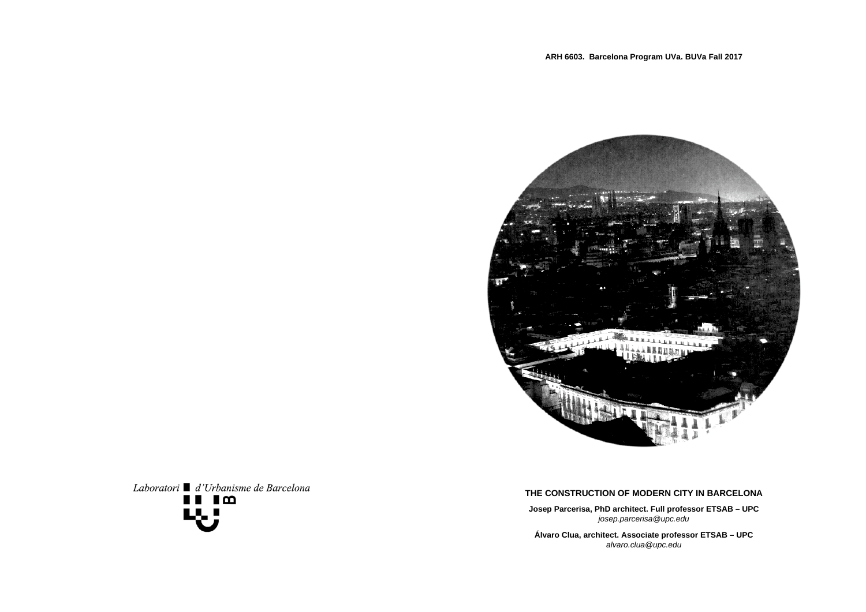

# Laboratori ■ d'Urbanisme de Barcelona  $\blacksquare$   $\blacksquare$   $\blacksquare$   $\blacksquare$

# **ARH 6603. Barcelona Program UVa. BUVa Fall 2017**

# **THE CONSTRUCTION OF MODERN CITY IN BARCELONA**

**Josep Parcerisa, PhD architect. Full professor ETSAB – UPC**  *josep.parcerisa@upc.edu*

**Álvaro Clua, architect. Associate professor ETSAB – UPC**  *alvaro.clua@upc.edu*